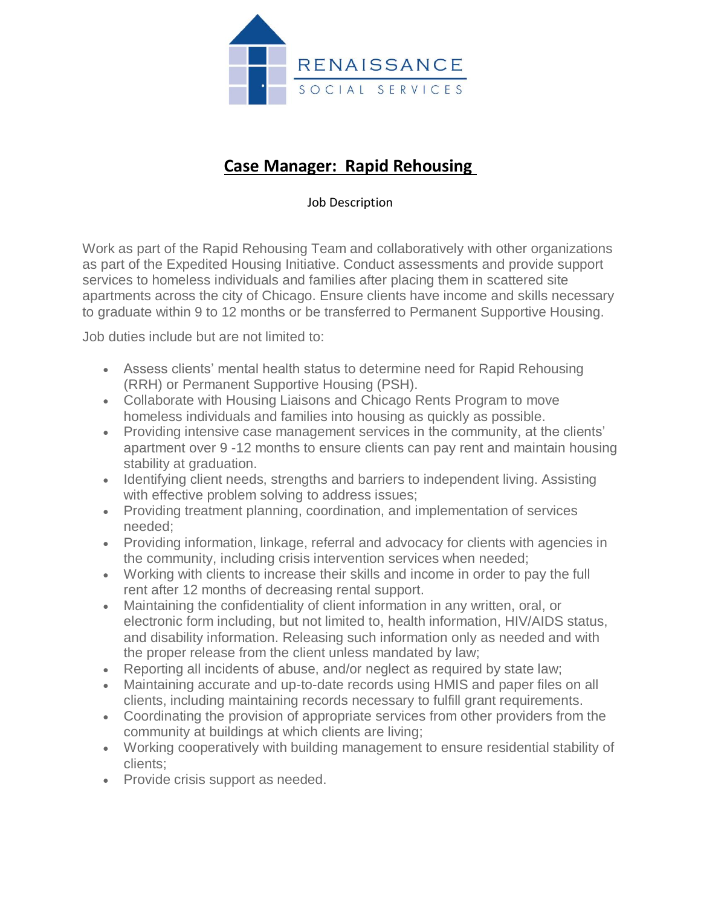

## **Case Manager: Rapid Rehousing**

## Job Description

Work as part of the Rapid Rehousing Team and collaboratively with other organizations as part of the Expedited Housing Initiative. Conduct assessments and provide support services to homeless individuals and families after placing them in scattered site apartments across the city of Chicago. Ensure clients have income and skills necessary to graduate within 9 to 12 months or be transferred to Permanent Supportive Housing.

Job duties include but are not limited to:

- Assess clients' mental health status to determine need for Rapid Rehousing (RRH) or Permanent Supportive Housing (PSH).
- Collaborate with Housing Liaisons and Chicago Rents Program to move homeless individuals and families into housing as quickly as possible.
- Providing intensive case management services in the community, at the clients' apartment over 9 -12 months to ensure clients can pay rent and maintain housing stability at graduation.
- Identifying client needs, strengths and barriers to independent living. Assisting with effective problem solving to address issues;
- Providing treatment planning, coordination, and implementation of services needed;
- Providing information, linkage, referral and advocacy for clients with agencies in the community, including crisis intervention services when needed;
- Working with clients to increase their skills and income in order to pay the full rent after 12 months of decreasing rental support.
- Maintaining the confidentiality of client information in any written, oral, or electronic form including, but not limited to, health information, HIV/AIDS status, and disability information. Releasing such information only as needed and with the proper release from the client unless mandated by law;
- Reporting all incidents of abuse, and/or neglect as required by state law;
- Maintaining accurate and up-to-date records using HMIS and paper files on all clients, including maintaining records necessary to fulfill grant requirements.
- Coordinating the provision of appropriate services from other providers from the community at buildings at which clients are living;
- Working cooperatively with building management to ensure residential stability of clients;
- Provide crisis support as needed.